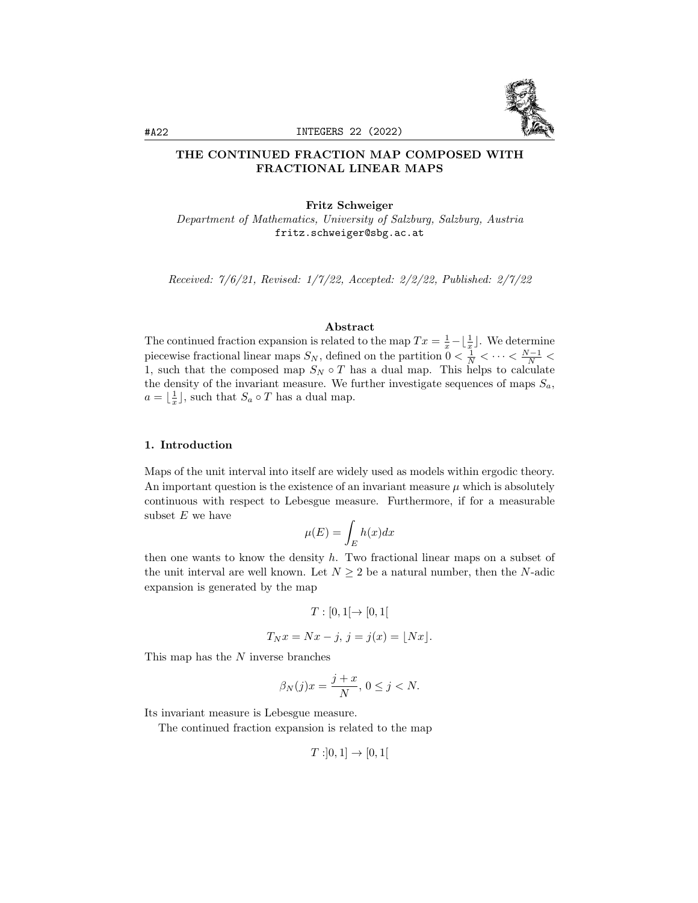

## THE CONTINUED FRACTION MAP COMPOSED WITH FRACTIONAL LINEAR MAPS

## Fritz Schweiger

Department of Mathematics, University of Salzburg, Salzburg, Austria fritz.schweiger@sbg.ac.at

Received: 7/6/21, Revised: 1/7/22, Accepted: 2/2/22, Published: 2/7/22

### Abstract

The continued fraction expansion is related to the map  $Tx = \frac{1}{x} - \lfloor \frac{1}{x} \rfloor$ . We determine piecewise fractional linear maps  $S_N$ , defined on the partition  $0 < \frac{1}{N} < \cdots < \frac{N-1}{N} <$ 1, such that the composed map  $S_N \circ T$  has a dual map. This helps to calculate the density of the invariant measure. We further investigate sequences of maps  $S_a$ ,  $a = \lfloor \frac{1}{x} \rfloor$ , such that  $S_a \circ T$  has a dual map.

### 1. Introduction

Maps of the unit interval into itself are widely used as models within ergodic theory. An important question is the existence of an invariant measure  $\mu$  which is absolutely continuous with respect to Lebesgue measure. Furthermore, if for a measurable subset  $E$  we have

$$
\mu(E) = \int_E h(x) dx
$$

then one wants to know the density  $h$ . Two fractional linear maps on a subset of the unit interval are well known. Let  $N \geq 2$  be a natural number, then the N-adic expansion is generated by the map

$$
T:[0,1[\rightarrow [0,1[
$$

$$
T_N x = Nx - j, j = j(x) = \lfloor Nx\rfloor.
$$

This map has the N inverse branches

$$
\beta_N(j)x = \frac{j+x}{N}, \, 0 \le j < N.
$$

Its invariant measure is Lebesgue measure.

The continued fraction expansion is related to the map

 $T: ]0,1] \rightarrow [0,1[$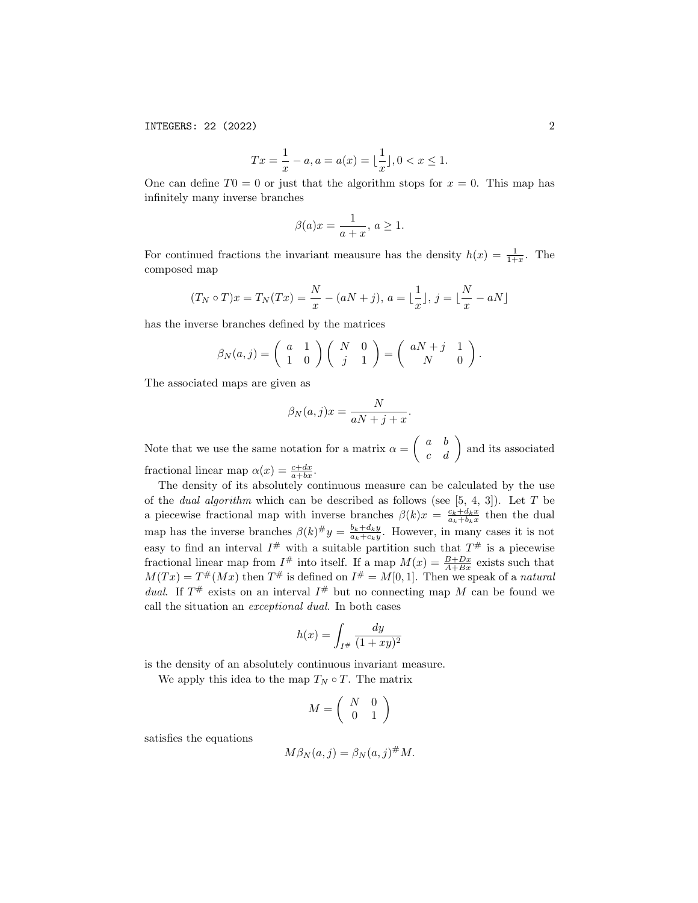$$
Tx = \frac{1}{x} - a, a = a(x) = \lfloor \frac{1}{x} \rfloor, 0 < x \le 1.
$$

One can define  $T0 = 0$  or just that the algorithm stops for  $x = 0$ . This map has infinitely many inverse branches

$$
\beta(a)x = \frac{1}{a+x}, \, a \ge 1.
$$

For continued fractions the invariant meausure has the density  $h(x) = \frac{1}{1+x}$ . The composed map

$$
(T_N \circ T)x = T_N(Tx) = \frac{N}{x} - (aN + j), \ a = \lfloor \frac{1}{x} \rfloor, \ j = \lfloor \frac{N}{x} - aN \rfloor
$$

has the inverse branches defined by the matrices

$$
\beta_N(a,j) = \begin{pmatrix} a & 1 \\ 1 & 0 \end{pmatrix} \begin{pmatrix} N & 0 \\ j & 1 \end{pmatrix} = \begin{pmatrix} aN+j & 1 \\ N & 0 \end{pmatrix}.
$$

The associated maps are given as

$$
\beta_N(a,j)x = \frac{N}{aN+j+x}.
$$

Note that we use the same notation for a matrix  $\alpha = \begin{pmatrix} a & b \\ c & d \end{pmatrix}$  and its associated fractional linear map  $\alpha(x) = \frac{c+dx}{a+bx}$ .

The density of its absolutely continuous measure can be calculated by the use of the *dual algorithm* which can be described as follows (see  $[5, 4, 3]$ ). Let T be a piecewise fractional map with inverse branches  $\beta(k)x = \frac{c_k+d_kx}{a_k+b_kx}$  then the dual map has the inverse branches  $\beta(k)^{\#}y = \frac{b_k+d_ky}{a_k+c_ky}$ . However, in many cases it is not easy to find an interval  $I^{\#}$  with a suitable partition such that  $T^{\#}$  is a piecewise fractional linear map from  $I^{\#}$  into itself. If a map  $M(x) = \frac{B+Dx}{A+Bx}$  exists such that  $M(Tx) = T^{\#}(Mx)$  then  $T^{\#}$  is defined on  $I^{\#} = M[0,1]$ . Then we speak of a natural dual. If  $T^{\#}$  exists on an interval  $I^{\#}$  but no connecting map M can be found we call the situation an exceptional dual. In both cases

$$
h(x) = \int_{I^\#} \frac{dy}{(1+xy)^2}
$$

is the density of an absolutely continuous invariant measure.

We apply this idea to the map  $T_N \circ T$ . The matrix

$$
M = \left(\begin{array}{cc} N & 0 \\ 0 & 1 \end{array}\right)
$$

satisfies the equations

$$
M\beta_N(a,j) = \beta_N(a,j)^{\#} M.
$$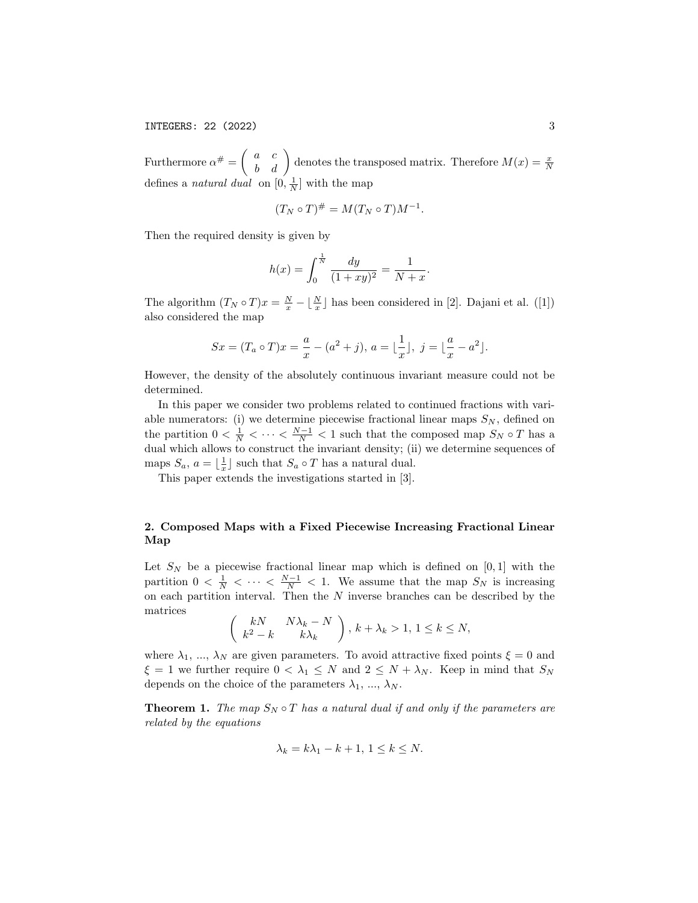Furthermore  $\alpha^{\#} = \begin{pmatrix} a & c \\ b & d \end{pmatrix}$  denotes the transposed matrix. Therefore  $M(x) = \frac{x}{N}$ defines a *natural dual* on  $[0, \frac{1}{N}]$  with the map

$$
(T_N \circ T)^{\#} = M(T_N \circ T)M^{-1}.
$$

Then the required density is given by

$$
h(x) = \int_0^{\frac{1}{N}} \frac{dy}{(1+xy)^2} = \frac{1}{N+x}.
$$

The algorithm  $(T_N \circ T)x = \frac{N}{x} - \lfloor \frac{N}{x} \rfloor$  has been considered in [2]. Dajani et al. ([1]) also considered the map

$$
Sx = (T_a \circ T)x = \frac{a}{x} - (a^2 + j), a = \lfloor \frac{1}{x} \rfloor, j = \lfloor \frac{a}{x} - a^2 \rfloor.
$$

However, the density of the absolutely continuous invariant measure could not be determined.

In this paper we consider two problems related to continued fractions with variable numerators: (i) we determine piecewise fractional linear maps  $S_N$ , defined on the partition  $0 < \frac{1}{N} < \cdots < \frac{N-1}{N} < 1$  such that the composed map  $S_N \circ T$  has a dual which allows to construct the invariant density; (ii) we determine sequences of maps  $S_a$ ,  $a = \lfloor \frac{1}{x} \rfloor$  such that  $S_a \circ T$  has a natural dual.

This paper extends the investigations started in [3].

# 2. Composed Maps with a Fixed Piecewise Increasing Fractional Linear Map

Let  $S_N$  be a piecewise fractional linear map which is defined on [0,1] with the partition  $0 < \frac{1}{N} < \cdots < \frac{N-1}{N} < 1$ . We assume that the map  $S_N$  is increasing on each partition interval. Then the  $N$  inverse branches can be described by the matrices

$$
\begin{pmatrix} kN & N\lambda_k - N \\ k^2 - k & k\lambda_k \end{pmatrix}, k + \lambda_k > 1, 1 \le k \le N,
$$

where  $\lambda_1, \ldots, \lambda_N$  are given parameters. To avoid attractive fixed points  $\xi = 0$  and  $\xi = 1$  we further require  $0 < \lambda_1 \leq N$  and  $2 \leq N + \lambda_N$ . Keep in mind that  $S_N$ depends on the choice of the parameters  $\lambda_1, \ldots, \lambda_N$ .

**Theorem 1.** The map  $S_N \circ T$  has a natural dual if and only if the parameters are related by the equations

$$
\lambda_k = k\lambda_1 - k + 1, \ 1 \le k \le N.
$$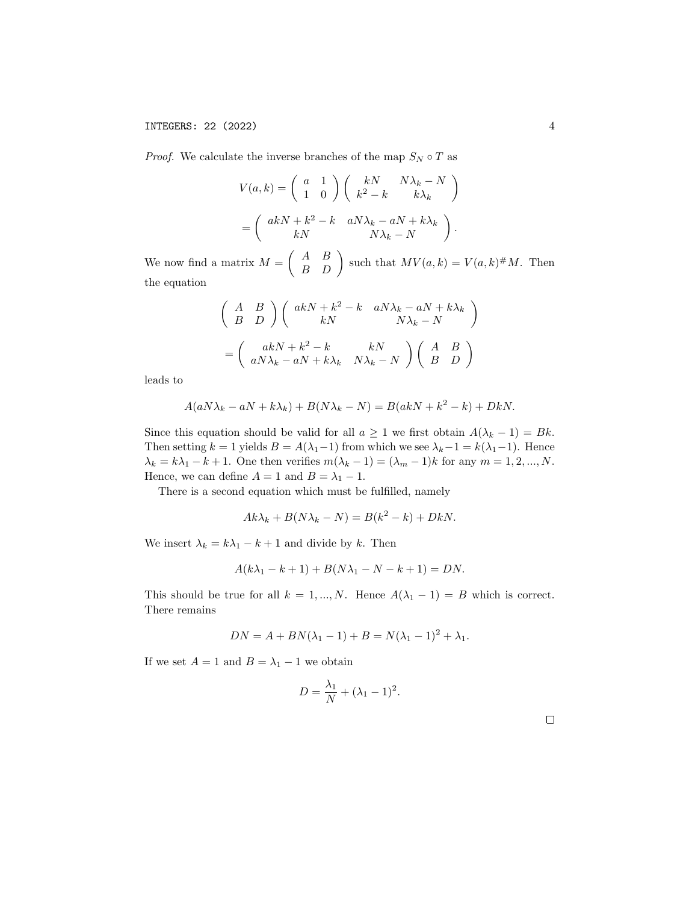*Proof.* We calculate the inverse branches of the map  $S_N \circ T$  as

$$
V(a,k) = \begin{pmatrix} a & 1 \\ 1 & 0 \end{pmatrix} \begin{pmatrix} kN & N\lambda_k - N \\ k^2 - k & k\lambda_k \end{pmatrix}
$$

$$
= \begin{pmatrix} akN + k^2 - k & aN\lambda_k - aN + k\lambda_k \\ kN & N\lambda_k - N \end{pmatrix}.
$$

We now find a matrix  $M = \begin{pmatrix} A & B \\ B & D \end{pmatrix}$  such that  $MV(a, k) = V(a, k) \# M$ . Then the equation

$$
\begin{pmatrix}\nA & B \\
B & D\n\end{pmatrix}\n\begin{pmatrix}\nakN + k^2 - k & aN\lambda_k - aN + k\lambda_k \\
kN & N\lambda_k - N\n\end{pmatrix}
$$
\n
$$
= \begin{pmatrix}\nakN + k^2 - k & kN \\
aN\lambda_k - aN + k\lambda_k & N\lambda_k - N\n\end{pmatrix}\n\begin{pmatrix}\nA & B \\
B & D\n\end{pmatrix}
$$

leads to

$$
A(aN\lambda_k - aN + k\lambda_k) + B(N\lambda_k - N) = B(akN + k^2 - k) + DkN.
$$

Since this equation should be valid for all  $a \geq 1$  we first obtain  $A(\lambda_k - 1) = Bk$ . Then setting  $k = 1$  yields  $B = A(\lambda_1 - 1)$  from which we see  $\lambda_k - 1 = k(\lambda_1 - 1)$ . Hence  $\lambda_k = k\lambda_1 - k + 1$ . One then verifies  $m(\lambda_k - 1) = (\lambda_m - 1)k$  for any  $m = 1, 2, ..., N$ . Hence, we can define  $A = 1$  and  $B = \lambda_1 - 1$ .

There is a second equation which must be fulfilled, namely

$$
Ak\lambda_k + B(N\lambda_k - N) = B(k^2 - k) + DkN.
$$

We insert  $\lambda_k = k\lambda_1 - k + 1$  and divide by k. Then

$$
A(k\lambda_1 - k + 1) + B(N\lambda_1 - N - k + 1) = DN.
$$

This should be true for all  $k = 1, ..., N$ . Hence  $A(\lambda_1 - 1) = B$  which is correct. There remains

$$
DN = A + BN(\lambda_1 - 1) + B = N(\lambda_1 - 1)^2 + \lambda_1.
$$

If we set  $A = 1$  and  $B = \lambda_1 - 1$  we obtain

$$
D = \frac{\lambda_1}{N} + (\lambda_1 - 1)^2.
$$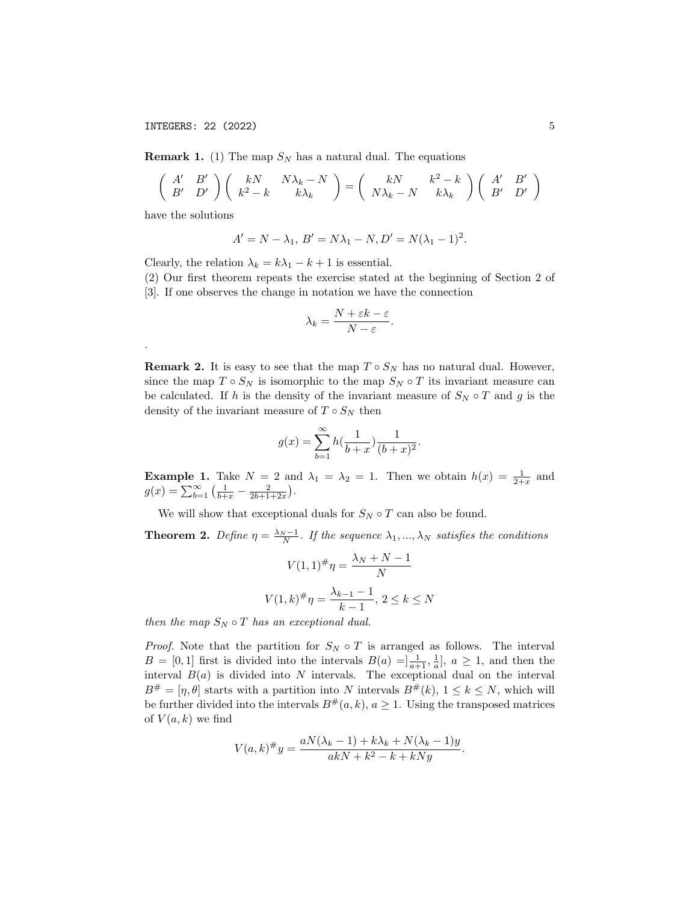**Remark 1.** (1) The map  $S_N$  has a natural dual. The equations

$$
\begin{pmatrix}\nA' & B' \\
B' & D'\n\end{pmatrix}\n\begin{pmatrix}\nkN & N\lambda_k - N \\
k^2 - k & k\lambda_k\n\end{pmatrix} =\n\begin{pmatrix}\nkN & k^2 - k \\
N\lambda_k - N & k\lambda_k\n\end{pmatrix}\n\begin{pmatrix}\nA' & B' \\
B' & D'\n\end{pmatrix}
$$

have the solutions

.

$$
A' = N - \lambda_1, B' = N\lambda_1 - N, D' = N(\lambda_1 - 1)^2.
$$

Clearly, the relation  $\lambda_k = k\lambda_1 - k + 1$  is essential.

(2) Our first theorem repeats the exercise stated at the beginning of Section 2 of [3]. If one observes the change in notation we have the connection

$$
\lambda_k = \frac{N + \varepsilon k - \varepsilon}{N - \varepsilon}.
$$

**Remark 2.** It is easy to see that the map  $T \circ S_N$  has no natural dual. However, since the map  $T \circ S_N$  is isomorphic to the map  $S_N \circ T$  its invariant measure can be calculated. If h is the density of the invariant measure of  $S_N \circ T$  and g is the density of the invariant measure of  $T \circ S_N$  then

$$
g(x) = \sum_{b=1}^{\infty} h(\frac{1}{b+x}) \frac{1}{(b+x)^2}.
$$

**Example 1.** Take  $N = 2$  and  $\lambda_1 = \lambda_2 = 1$ . Then we obtain  $h(x) = \frac{1}{2+x}$  and  $g(x) = \sum_{b=1}^{\infty} \left( \frac{1}{b+x} - \frac{2}{2b+1+2x} \right).$ 

We will show that exceptional duals for  $S_N \circ T$  can also be found.

**Theorem 2.** Define  $\eta = \frac{\lambda_N - 1}{N}$ . If the sequence  $\lambda_1, ..., \lambda_N$  satisfies the conditions

$$
V(1,1)^{\#}\eta = \frac{\lambda_N + N - 1}{N}
$$

$$
V(1,k)^{\#}\eta = \frac{\lambda_{k-1} - 1}{k-1}, \ 2 \le k \le N
$$

then the map  $S_N \circ T$  has an exceptional dual.

*Proof.* Note that the partition for  $S_N \circ T$  is arranged as follows. The interval  $B = [0,1]$  first is divided into the intervals  $B(a) = ]\frac{1}{a+1}, \frac{1}{a}$ ,  $a \ge 1$ , and then the interval  $B(a)$  is divided into N intervals. The exceptional dual on the interval  $B^{\#} = [\eta, \theta]$  starts with a partition into N intervals  $B^{\#}(k)$ ,  $1 \leq k \leq N$ , which will be further divided into the intervals  $B^{\#}(a, k), a \geq 1$ . Using the transposed matrices of  $V(a, k)$  we find

$$
V(a,k)^{\#}y = \frac{aN(\lambda_k - 1) + k\lambda_k + N(\lambda_k - 1)y}{akN + k^2 - k + kNy}.
$$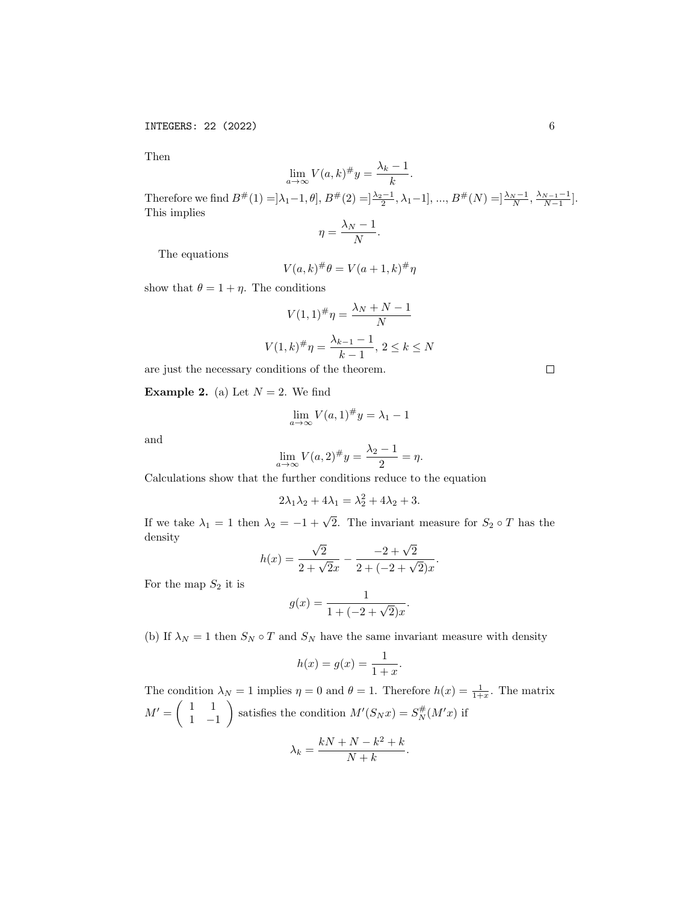Then

$$
\lim_{a \to \infty} V(a, k)^{\#} y = \frac{\lambda_k - 1}{k}.
$$

Therefore we find  $B^{\#}(1) = ]\lambda_1 - 1, \theta]$ ,  $B^{\#}(2) = ]\frac{\lambda_2 - 1}{2}, \lambda_1 - 1]$ , ...,  $B^{\#}(N) = ]\frac{\lambda_N - 1}{N}, \frac{\lambda_{N-1} - 1}{N-1}]$ . This implies

$$
\eta = \frac{\lambda_N - 1}{N}.
$$

The equations

$$
V(a,k)^{\#}\theta = V(a+1,k)^{\#}\eta
$$

show that  $\theta = 1 + \eta$ . The conditions

$$
V(1,1)^{\#}\eta = \frac{\lambda_N + N - 1}{N}
$$

$$
V(1,k)^{\#}\eta = \frac{\lambda_{k-1} - 1}{k-1}, \ 2 \le k \le N
$$

are just the necessary conditions of the theorem.

**Example 2.** (a) Let  $N = 2$ . We find

$$
\lim_{a \to \infty} V(a, 1)^\# y = \lambda_1 - 1
$$

and

$$
\lim_{a \to \infty} V(a, 2)^{\#} y = \frac{\lambda_2 - 1}{2} = \eta.
$$

Calculations show that the further conditions reduce to the equation

$$
2\lambda_1\lambda_2 + 4\lambda_1 = \lambda_2^2 + 4\lambda_2 + 3.
$$

If we take  $\lambda_1 = 1$  then  $\lambda_2 = -1 + \sqrt{2}$ . The invariant measure for  $S_2 \circ T$  has the density √

$$
h(x) = \frac{\sqrt{2}}{2 + \sqrt{2}x} - \frac{-2 + \sqrt{2}}{2 + (-2 + \sqrt{2})x}.
$$

For the map  $S_2$  it is

$$
g(x) = \frac{1}{1 + (-2 + \sqrt{2})x}.
$$

(b) If  $\lambda_N=1$  then  $S_N\circ T$  and  $S_N$  have the same invariant measure with density

$$
h(x) = g(x) = \frac{1}{1+x}.
$$

The condition  $\lambda_N = 1$  implies  $\eta = 0$  and  $\theta = 1$ . Therefore  $h(x) = \frac{1}{1+x}$ . The matrix  $M' = \begin{pmatrix} 1 & 1 \\ 1 & 1 \end{pmatrix}$ 1 −1 satisfies the condition  $M'(S_N x) = S_N^{\#}(M'x)$  if  $\lambda_k = \frac{kN + N - k^2 + k}{N + k}$  $\frac{1}{N+k}$ .

 $\Box$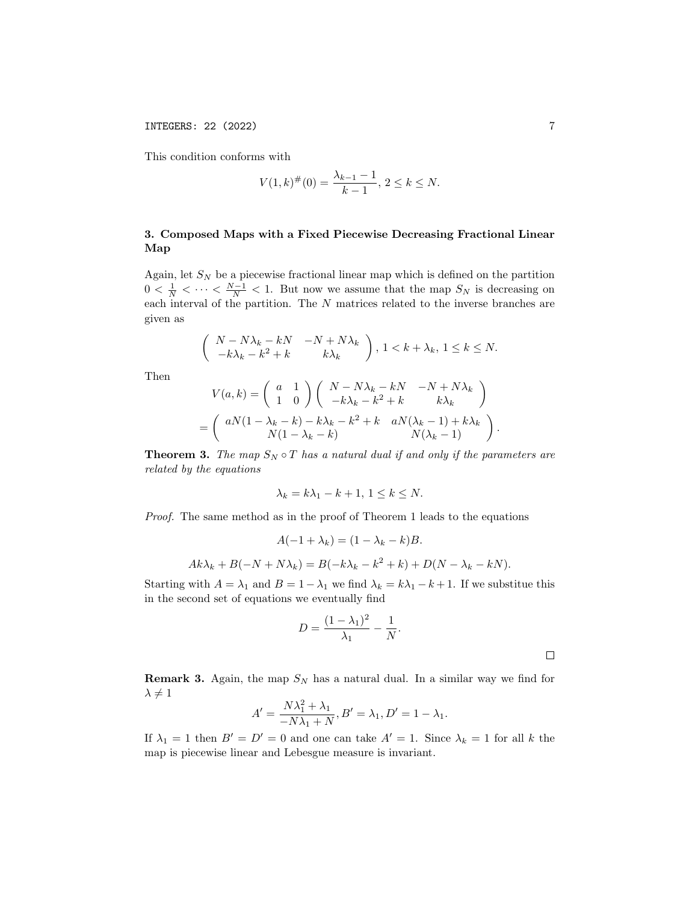This condition conforms with

$$
V(1,k)^{\#}(0) = \frac{\lambda_{k-1} - 1}{k-1}, \ 2 \le k \le N.
$$

## 3. Composed Maps with a Fixed Piecewise Decreasing Fractional Linear Map

Again, let  $S_N$  be a piecewise fractional linear map which is defined on the partition  $0 < \frac{1}{N} < \cdots < \frac{N-1}{N} < 1$ . But now we assume that the map  $S_N$  is decreasing on each interval of the partition. The N matrices related to the inverse branches are given as

$$
\begin{pmatrix} N - N\lambda_k - kN & -N + N\lambda_k \\ -k\lambda_k - k^2 + k & k\lambda_k \end{pmatrix}, 1 < k + \lambda_k, 1 \le k \le N.
$$

Then

$$
V(a,k) = \begin{pmatrix} a & 1 \\ 1 & 0 \end{pmatrix} \begin{pmatrix} N - N\lambda_k - kN & -N + N\lambda_k \\ -k\lambda_k - k^2 + k & k\lambda_k \end{pmatrix}
$$

$$
= \begin{pmatrix} aN(1 - \lambda_k - k) - k\lambda_k - k^2 + k & aN(\lambda_k - 1) + k\lambda_k \\ N(1 - \lambda_k - k) & N(\lambda_k - 1) \end{pmatrix}.
$$

**Theorem 3.** The map  $S_N \circ T$  has a natural dual if and only if the parameters are related by the equations

$$
\lambda_k = k\lambda_1 - k + 1, \ 1 \le k \le N.
$$

Proof. The same method as in the proof of Theorem 1 leads to the equations

$$
A(-1 + \lambda_k) = (1 - \lambda_k - k)B.
$$
  

$$
Ak\lambda_k + B(-N + N\lambda_k) = B(-k\lambda_k - k^2 + k) + D(N - \lambda_k - kN).
$$

Starting with  $A = \lambda_1$  and  $B = 1 - \lambda_1$  we find  $\lambda_k = k\lambda_1 - k + 1$ . If we substitue this in the second set of equations we eventually find

$$
D = \frac{(1 - \lambda_1)^2}{\lambda_1} - \frac{1}{N}.
$$

**Remark 3.** Again, the map  $S_N$  has a natural dual. In a similar way we find for  $\lambda \neq 1$ 

$$
A' = \frac{N\lambda_1^2 + \lambda_1}{-N\lambda_1 + N}, B' = \lambda_1, D' = 1 - \lambda_1.
$$

If  $\lambda_1 = 1$  then  $B' = D' = 0$  and one can take  $A' = 1$ . Since  $\lambda_k = 1$  for all k the map is piecewise linear and Lebesgue measure is invariant.

 $\hfill \square$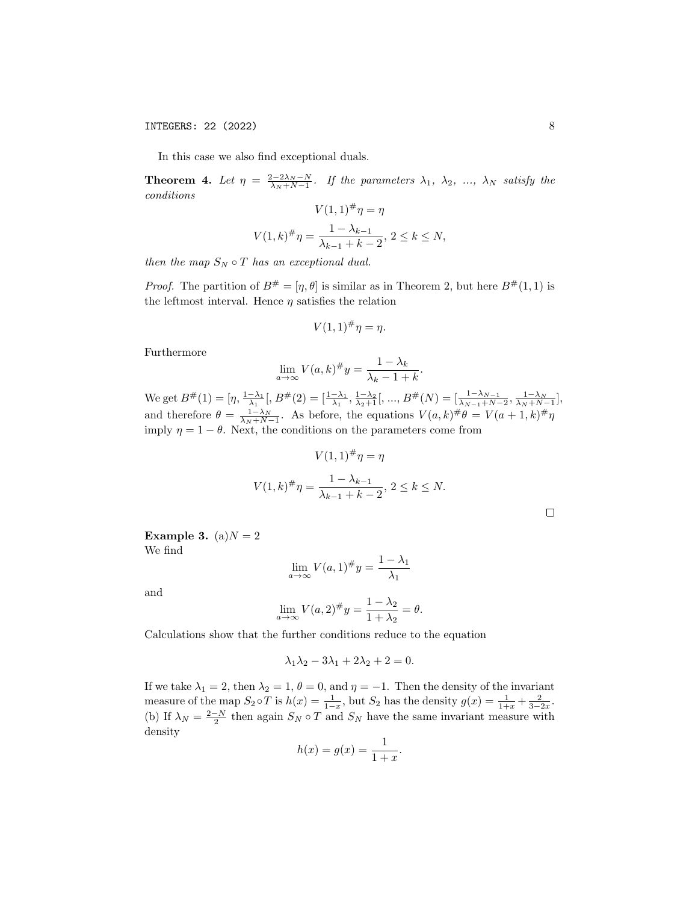In this case we also find exceptional duals.

**Theorem 4.** Let  $\eta = \frac{2-2\lambda_N - N}{\lambda_N + N - 1}$ . If the parameters  $\lambda_1$ ,  $\lambda_2$ , ...,  $\lambda_N$  satisfy the conditions

$$
V(1,1)^{\#}\eta = \eta
$$
  

$$
V(1,k)^{\#}\eta = \frac{1 - \lambda_{k-1}}{\lambda_{k-1} + k - 2}, \ 2 \le k \le N,
$$

then the map  $S_N \circ T$  has an exceptional dual.

*Proof.* The partition of  $B^{\#} = [\eta, \theta]$  is similar as in Theorem 2, but here  $B^{\#}(1, 1)$  is the leftmost interval. Hence  $\eta$  satisfies the relation

$$
V(1,1)^{\#}\eta = \eta.
$$

Furthermore

$$
\lim_{a \to \infty} V(a, k)^{\#} y = \frac{1 - \lambda_k}{\lambda_k - 1 + k}.
$$

We get  $B^{\#}(1) = [\eta, \frac{1-\lambda_1}{\lambda_1}], B^{\#}(2) = [\frac{1-\lambda_1}{\lambda_1}, \frac{1-\lambda_2}{\lambda_2+1}], ..., B^{\#}(N) = [\frac{1-\lambda_{N-1}}{\lambda_{N-1}+N-2}, \frac{1-\lambda_N}{\lambda_N+N-1}],$ and therefore  $\theta = \frac{1-\lambda_N}{\lambda_N+N-1}$ . As before, the equations  $V(a,k)^{\#}\theta = V(a+1,k)^{\#}\eta$ imply  $\eta = 1 - \theta$ . Next, the conditions on the parameters come from

$$
V(1,1)^{\#}\eta = \eta
$$
  

$$
V(1,k)^{\#}\eta = \frac{1 - \lambda_{k-1}}{\lambda_{k-1} + k - 2}, \ 2 \le k \le N.
$$

Example 3. (a) $N = 2$ We find

$$
\lim_{a \to \infty} V(a, 1)^{\#} y = \frac{1 - \lambda_1}{\lambda_1}
$$

and

$$
\lim_{a \to \infty} V(a, 2)^{\#} y = \frac{1 - \lambda_2}{1 + \lambda_2} = \theta.
$$

Calculations show that the further conditions reduce to the equation

$$
\lambda_1 \lambda_2 - 3\lambda_1 + 2\lambda_2 + 2 = 0.
$$

If we take  $\lambda_1 = 2$ , then  $\lambda_2 = 1$ ,  $\theta = 0$ , and  $\eta = -1$ . Then the density of the invariant measure of the map  $S_2 \circ T$  is  $h(x) = \frac{1}{1-x}$ , but  $S_2$  has the density  $g(x) = \frac{1}{1+x} + \frac{2}{3-2x}$ . (b) If  $\lambda_N = \frac{2-N}{2}$  then again  $S_N \circ T$  and  $S_N$  have the same invariant measure with density

$$
h(x) = g(x) = \frac{1}{1+x}.
$$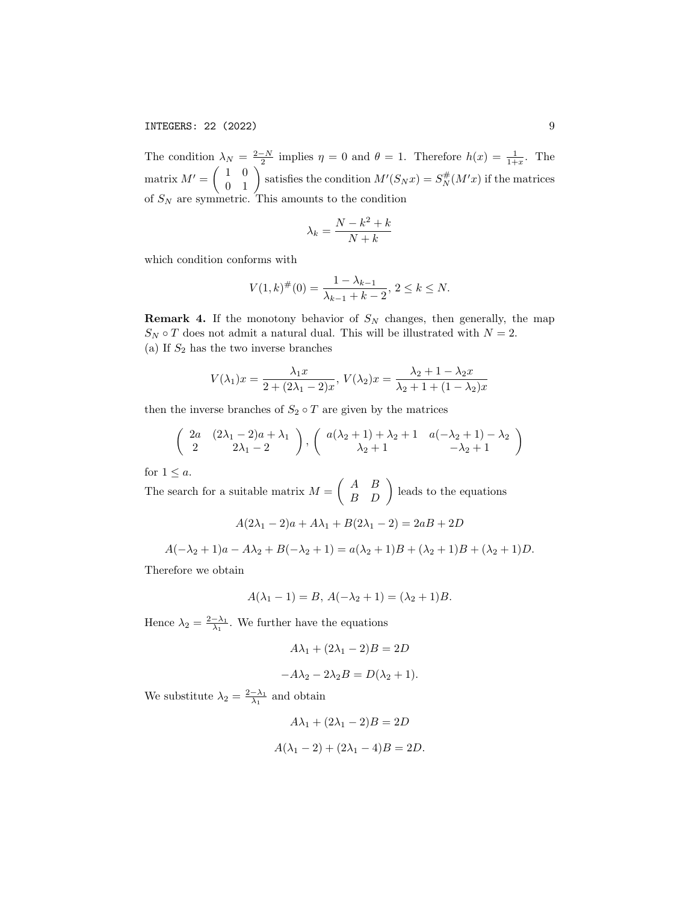The condition  $\lambda_N = \frac{2-N}{2}$  implies  $\eta = 0$  and  $\theta = 1$ . Therefore  $h(x) = \frac{1}{1+x}$ . The matrix  $M' = \begin{pmatrix} 1 & 0 \\ 0 & 1 \end{pmatrix}$  satisfies the condition  $M'(S_N x) = S_N^{\#}(M'x)$  if the matrices of  $S_N$  are symmetric. This amounts to the condition

$$
\lambda_k = \frac{N - k^2 + k}{N + k}
$$

which condition conforms with

$$
V(1,k)^{\#}(0) = \frac{1 - \lambda_{k-1}}{\lambda_{k-1} + k - 2}, \, 2 \le k \le N.
$$

**Remark 4.** If the monotony behavior of  $S_N$  changes, then generally, the map  $S_N \circ T$  does not admit a natural dual. This will be illustrated with  $N = 2$ . (a) If  $S_2$  has the two inverse branches

$$
V(\lambda_1)x = \frac{\lambda_1 x}{2 + (2\lambda_1 - 2)x}, V(\lambda_2)x = \frac{\lambda_2 + 1 - \lambda_2 x}{\lambda_2 + 1 + (1 - \lambda_2)x}
$$

then the inverse branches of  $S_2 \circ T$  are given by the matrices

$$
\left(\begin{array}{cc}\n2a & (2\lambda_1 - 2)a + \lambda_1 \\
2 & 2\lambda_1 - 2\n\end{array}\right),\n\left(\begin{array}{cc}\na(\lambda_2 + 1) + \lambda_2 + 1 & a(-\lambda_2 + 1) - \lambda_2 \\
\lambda_2 + 1 & -\lambda_2 + 1\n\end{array}\right)
$$

for  $1 \leq a$ .

The search for a suitable matrix  $M = \begin{pmatrix} A & B \\ B & D \end{pmatrix}$  leads to the equations

$$
A(2\lambda_1-2)a+A\lambda_1+B(2\lambda_1-2)=2aB+2D
$$

 $A(-\lambda_2 + 1)a - A\lambda_2 + B(-\lambda_2 + 1) = a(\lambda_2 + 1)B + (\lambda_2 + 1)B + (\lambda_2 + 1)D.$ 

Therefore we obtain

$$
A(\lambda_1 - 1) = B, A(-\lambda_2 + 1) = (\lambda_2 + 1)B.
$$

Hence  $\lambda_2 = \frac{2-\lambda_1}{\lambda_1}$ . We further have the equations

$$
A\lambda_1 + (2\lambda_1 - 2)B = 2D
$$

$$
-A\lambda_2 - 2\lambda_2 B = D(\lambda_2 + 1).
$$

We substitute  $\lambda_2 = \frac{2-\lambda_1}{\lambda_1}$  and obtain

$$
A\lambda_1 + (2\lambda_1 - 2)B = 2D
$$
  

$$
A(\lambda_1 - 2) + (2\lambda_1 - 4)B = 2D.
$$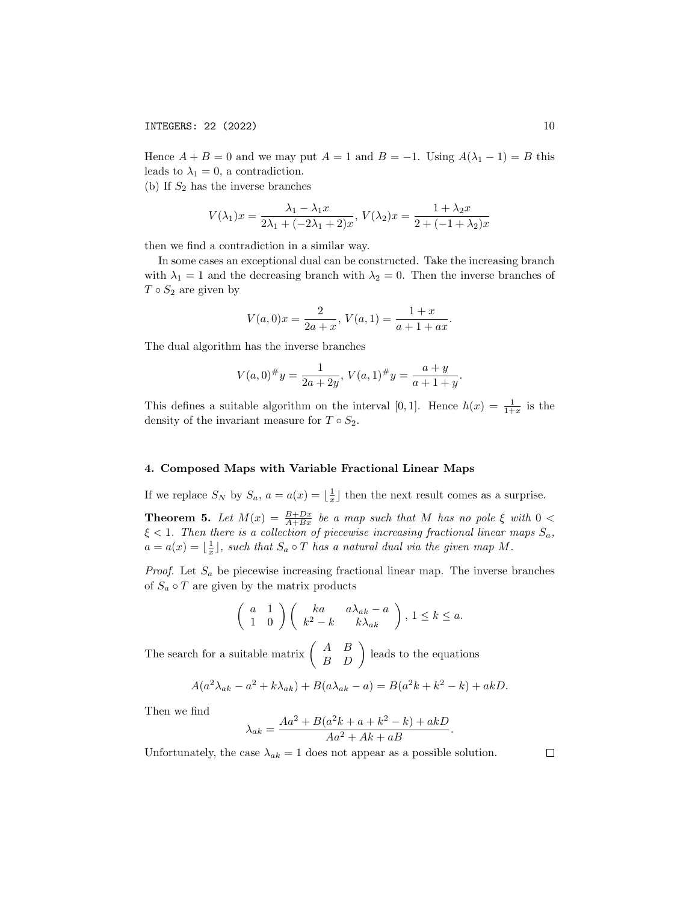Hence  $A + B = 0$  and we may put  $A = 1$  and  $B = -1$ . Using  $A(\lambda_1 - 1) = B$  this leads to  $\lambda_1 = 0$ , a contradiction.

(b) If  $S_2$  has the inverse branches

$$
V(\lambda_1)x = \frac{\lambda_1 - \lambda_1 x}{2\lambda_1 + (-2\lambda_1 + 2)x}, V(\lambda_2)x = \frac{1 + \lambda_2 x}{2 + (-1 + \lambda_2)x}
$$

then we find a contradiction in a similar way.

In some cases an exceptional dual can be constructed. Take the increasing branch with  $\lambda_1 = 1$  and the decreasing branch with  $\lambda_2 = 0$ . Then the inverse branches of  $T \circ S_2$  are given by

$$
V(a,0)x = \frac{2}{2a+x}, V(a,1) = \frac{1+x}{a+1+ax}.
$$

The dual algorithm has the inverse branches

$$
V(a,0)^\# y = \frac{1}{2a+2y}, \, V(a,1)^\# y = \frac{a+y}{a+1+y}.
$$

This defines a suitable algorithm on the interval [0, 1]. Hence  $h(x) = \frac{1}{1+x}$  is the density of the invariant measure for  $T \circ S_2$ .

#### 4. Composed Maps with Variable Fractional Linear Maps

If we replace  $S_N$  by  $S_a$ ,  $a = a(x) = \lfloor \frac{1}{x} \rfloor$  then the next result comes as a surprise.

**Theorem 5.** Let  $M(x) = \frac{B+Dx}{A+Bx}$  be a map such that M has no pole  $\xi$  with  $0 <$  $\xi < 1$ . Then there is a collection of piecewise increasing fractional linear maps  $S_a$ ,  $a = a(x) = \lfloor \frac{1}{x} \rfloor$ , such that  $S_a \circ T$  has a natural dual via the given map M.

*Proof.* Let  $S_a$  be piecewise increasing fractional linear map. The inverse branches of  $S_a \circ T$  are given by the matrix products

$$
\left(\begin{array}{cc} a & 1 \\ 1 & 0 \end{array}\right) \left(\begin{array}{cc} ka & a\lambda_{ak} - a \\ k^2 - k & k\lambda_{ak} \end{array}\right), 1 \le k \le a.
$$

The search for a suitable matrix  $\begin{pmatrix} A & B \\ B & D \end{pmatrix}$  leads to the equations

$$
A(a2\lambdaak - a2 + k\lambdaak) + B(a\lambdaak - a) = B(a2k + k2 - k) + akD.
$$

Then we find

$$
\lambda_{ak} = \frac{Aa^2 + B(a^2k + a + k^2 - k) + akD}{Aa^2 + Ak + aB}.
$$

Unfortunately, the case  $\lambda_{ak} = 1$  does not appear as a possible solution.

 $\Box$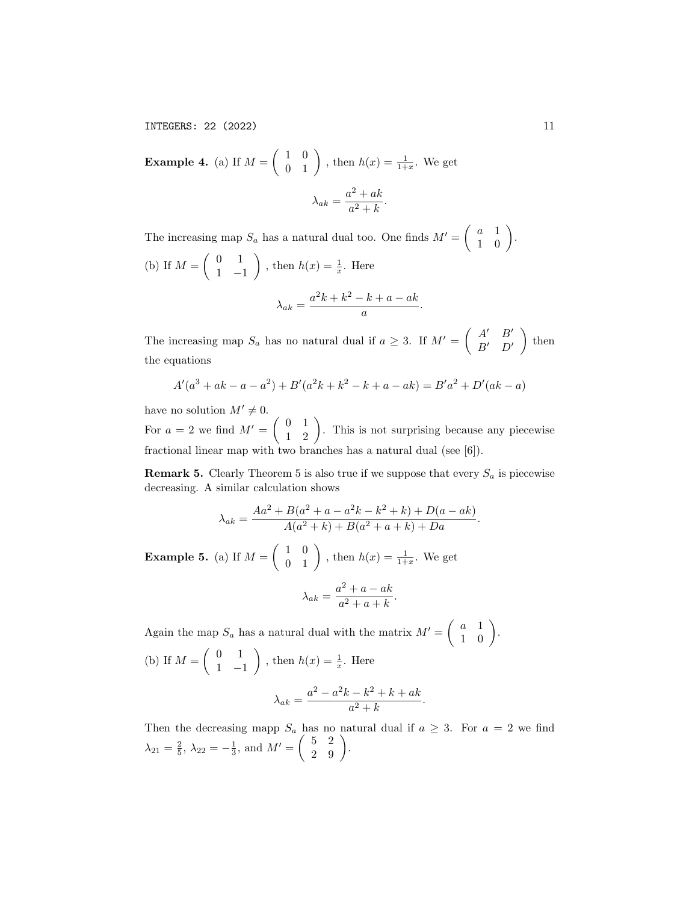**Example 4.** (a) If  $M = \begin{pmatrix} 1 & 0 \\ 0 & 1 \end{pmatrix}$ , then  $h(x) = \frac{1}{1+x}$ . We get  $\lambda_{ak} = \frac{a^2 + ak}{a^2 + b^2}$  $\frac{a^2+kn}{a^2+k}$ .

The increasing map  $S_a$  has a natural dual too. One finds  $M' = \begin{pmatrix} a & 1 \\ 1 & 0 \end{pmatrix}$ . (b) If  $M = \begin{pmatrix} 0 & 1 \\ 1 & 1 \end{pmatrix}$ 1 −1 ), then  $h(x) = \frac{1}{x}$ . Here  $\lambda_{ak} = \frac{a^2k + k^2 - k + a - ak}{a}$  $\frac{a}{a}$ .

The increasing map  $S_a$  has no natural dual if  $a \geq 3$ . If  $M' = \begin{pmatrix} A' & B' \\ B' & D' \end{pmatrix}$  $B'$   $D'$  $\Big)$  then the equations

$$
A'(a3 + ak - a - a2) + B'(a2k + k2 - k + a - ak) = B'a2 + D'(ak - a)
$$

have no solution  $M' \neq 0$ . For  $a = 2$  we find  $M' = \begin{pmatrix} 0 & 1 \\ 1 & 2 \end{pmatrix}$ . This is not surprising because any piecewise fractional linear map with two branches has a natural dual (see [6]).

**Remark 5.** Clearly Theorem 5 is also true if we suppose that every  $S_a$  is piecewise decreasing. A similar calculation shows

$$
\lambda_{ak} = \frac{Aa^2 + B(a^2 + a - a^2k - k^2 + k) + D(a - ak)}{A(a^2 + k) + B(a^2 + a + k) + Da}.
$$

**Example 5.** (a) If  $M = \begin{pmatrix} 1 & 0 \\ 0 & 1 \end{pmatrix}$ , then  $h(x) = \frac{1}{1+x}$ . We get

$$
\lambda_{ak} = \frac{a^2 + a - ak}{a^2 + a + k}.
$$

Again the map  $S_a$  has a natural dual with the matrix  $M' = \begin{pmatrix} a & 1 \\ 1 & 0 \end{pmatrix}$ . (b) If  $M = \begin{pmatrix} 0 & 1 \\ 1 & 1 \end{pmatrix}$ 1 −1 ), then  $h(x) = \frac{1}{x}$ . Here  $\lambda_{ak} = \frac{a^2 - a^2k - k^2 + k + ak}{a^2 + k}$  $\frac{n+1}{a^2+k}$ .

Then the decreasing mapp  $S_a$  has no natural dual if  $a \geq 3$ . For  $a = 2$  we find  $\lambda_{21} = \frac{2}{5}, \lambda_{22} = -\frac{1}{3}, \text{ and } M' = \begin{pmatrix} 5 & 2 \\ 2 & 9 \end{pmatrix}.$